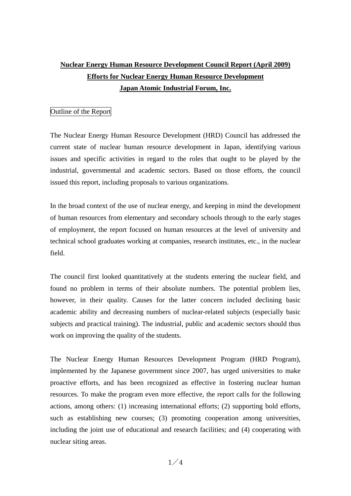## **Nuclear Energy Human Resource Development Council Report (April 2009) Efforts for Nuclear Energy Human Resource Development Japan Atomic Industrial Forum, Inc.**

## Outline of the Report

The Nuclear Energy Human Resource Development (HRD) Council has addressed the current state of nuclear human resource development in Japan, identifying various issues and specific activities in regard to the roles that ought to be played by the industrial, governmental and academic sectors. Based on those efforts, the council issued this report, including proposals to various organizations.

In the broad context of the use of nuclear energy, and keeping in mind the development of human resources from elementary and secondary schools through to the early stages of employment, the report focused on human resources at the level of university and technical school graduates working at companies, research institutes, etc., in the nuclear field.

The council first looked quantitatively at the students entering the nuclear field, and found no problem in terms of their absolute numbers. The potential problem lies, however, in their quality. Causes for the latter concern included declining basic academic ability and decreasing numbers of nuclear-related subjects (especially basic subjects and practical training). The industrial, public and academic sectors should thus work on improving the quality of the students.

The Nuclear Energy Human Resources Development Program (HRD Program), implemented by the Japanese government since 2007, has urged universities to make proactive efforts, and has been recognized as effective in fostering nuclear human resources. To make the program even more effective, the report calls for the following actions, among others: (1) increasing international efforts; (2) supporting bold efforts, such as establishing new courses; (3) promoting cooperation among universities, including the joint use of educational and research facilities; and (4) cooperating with nuclear siting areas.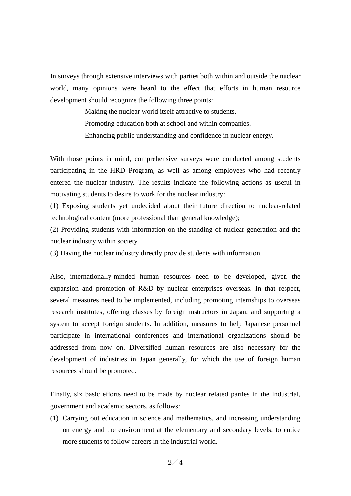In surveys through extensive interviews with parties both within and outside the nuclear world, many opinions were heard to the effect that efforts in human resource development should recognize the following three points:

-- Making the nuclear world itself attractive to students.

-- Promoting education both at school and within companies.

-- Enhancing public understanding and confidence in nuclear energy.

With those points in mind, comprehensive surveys were conducted among students participating in the HRD Program, as well as among employees who had recently entered the nuclear industry. The results indicate the following actions as useful in motivating students to desire to work for the nuclear industry:

(1) Exposing students yet undecided about their future direction to nuclear-related technological content (more professional than general knowledge);

(2) Providing students with information on the standing of nuclear generation and the nuclear industry within society.

(3) Having the nuclear industry directly provide students with information.

Also, internationally-minded human resources need to be developed, given the expansion and promotion of R&D by nuclear enterprises overseas. In that respect, several measures need to be implemented, including promoting internships to overseas research institutes, offering classes by foreign instructors in Japan, and supporting a system to accept foreign students. In addition, measures to help Japanese personnel participate in international conferences and international organizations should be addressed from now on. Diversified human resources are also necessary for the development of industries in Japan generally, for which the use of foreign human resources should be promoted.

Finally, six basic efforts need to be made by nuclear related parties in the industrial, government and academic sectors, as follows:

(1) Carrying out education in science and mathematics, and increasing understanding on energy and the environment at the elementary and secondary levels, to entice more students to follow careers in the industrial world.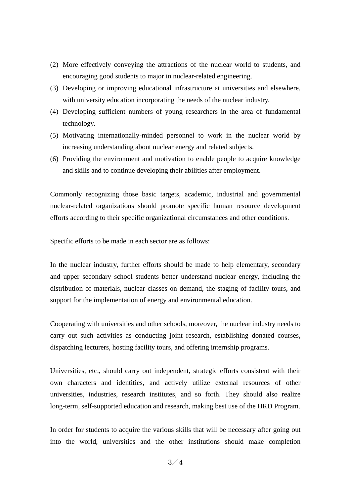- (2) More effectively conveying the attractions of the nuclear world to students, and encouraging good students to major in nuclear-related engineering.
- (3) Developing or improving educational infrastructure at universities and elsewhere, with university education incorporating the needs of the nuclear industry.
- (4) Developing sufficient numbers of young researchers in the area of fundamental technology.
- (5) Motivating internationally-minded personnel to work in the nuclear world by increasing understanding about nuclear energy and related subjects.
- (6) Providing the environment and motivation to enable people to acquire knowledge and skills and to continue developing their abilities after employment.

Commonly recognizing those basic targets, academic, industrial and governmental nuclear-related organizations should promote specific human resource development efforts according to their specific organizational circumstances and other conditions.

Specific efforts to be made in each sector are as follows:

In the nuclear industry, further efforts should be made to help elementary, secondary and upper secondary school students better understand nuclear energy, including the distribution of materials, nuclear classes on demand, the staging of facility tours, and support for the implementation of energy and environmental education.

Cooperating with universities and other schools, moreover, the nuclear industry needs to carry out such activities as conducting joint research, establishing donated courses, dispatching lecturers, hosting facility tours, and offering internship programs.

Universities, etc., should carry out independent, strategic efforts consistent with their own characters and identities, and actively utilize external resources of other universities, industries, research institutes, and so forth. They should also realize long-term, self-supported education and research, making best use of the HRD Program.

In order for students to acquire the various skills that will be necessary after going out into the world, universities and the other institutions should make completion